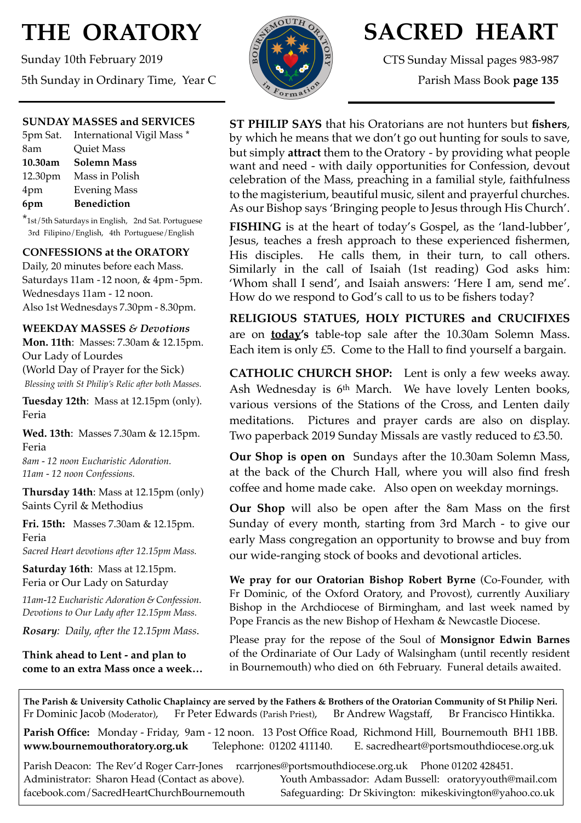# **THE ORATORY**

Sunday 10th February 2019 5th Sunday in Ordinary Time, Year C

## **SUNDAY MASSES and SERVICES**

|         | 5pm Sat. International Vigil Mass * |
|---------|-------------------------------------|
| 8am     | Quiet Mass                          |
| 10.30am | <b>Solemn Mass</b>                  |
|         | 12.30pm Mass in Polish              |
| 4pm     | <b>Evening Mass</b>                 |
| 6pm     | <b>Benediction</b>                  |

\*1st/5th Saturdays in English, 2nd Sat. Portuguese 3rd Filipino/English, 4th Portuguese/English

# **CONFESSIONS at the ORATORY**

Daily, 20 minutes before each Mass. Saturdays 11am - 12 noon, & 4pm- 5pm. Wednesdays 11am - 12 noon. Also 1st Wednesdays 7.30pm - 8.30pm.

**WEEKDAY MASSES** *& Devotions*

**Mon. 11th**: Masses: 7.30am & 12.15pm. Our Lady of Lourdes (World Day of Prayer for the Sick) *Blessing with St Philip's Relic after both Masses.*

**Tuesday 12th**: Mass at 12.15pm (only). Feria

**Wed. 13th**: Masses 7.30am & 12.15pm. Feria

*8am - 12 noon Eucharistic Adoration. 11am - 12 noon Confessions.*

**Thursday 14th**: Mass at 12.15pm (only) Saints Cyril & Methodius

**Fri. 15th:** Masses 7.30am & 12.15pm. Feria

*Sacred Heart devotions after 12.15pm Mass.*

**Saturday 16th**: Mass at 12.15pm. Feria or Our Lady on Saturday

*11am-12 Eucharistic Adoration & Confession. Devotions to Our Lady after 12.15pm Mass.*

*Rosary: Daily, after the 12.15pm Mass*.

**Think ahead to Lent - and plan to come to an extra Mass once a week…** 



# **SACRED HEART**

CTS Sunday Missal pages 983-987 Parish Mass Book **page 135**

# **ST PHILIP SAYS** that his Oratorians are not hunters but **fishers**, by which he means that we don't go out hunting for souls to save, but simply **attract** them to the Oratory - by providing what people want and need - with daily opportunities for Confession, devout celebration of the Mass, preaching in a familial style, faithfulness to the magisterium, beautiful music, silent and prayerful churches. As our Bishop says 'Bringing people to Jesus through His Church'.

**FISHING** is at the heart of today's Gospel, as the 'land-lubber', Jesus, teaches a fresh approach to these experienced fishermen, His disciples. He calls them, in their turn, to call others. Similarly in the call of Isaiah (1st reading) God asks him: 'Whom shall I send', and Isaiah answers: 'Here I am, send me'. How do we respond to God's call to us to be fishers today?

**RELIGIOUS STATUES, HOLY PICTURES and CRUCIFIXES**  are on **today's** table-top sale after the 10.30am Solemn Mass. Each item is only £5. Come to the Hall to find yourself a bargain.

**CATHOLIC CHURCH SHOP:** Lent is only a few weeks away. Ash Wednesday is 6th March. We have lovely Lenten books, various versions of the Stations of the Cross, and Lenten daily meditations. Pictures and prayer cards are also on display. Two paperback 2019 Sunday Missals are vastly reduced to £3.50.

**Our Shop is open on** Sundays after the 10.30am Solemn Mass, at the back of the Church Hall, where you will also find fresh coffee and home made cake. Also open on weekday mornings.

**Our Shop** will also be open after the 8am Mass on the first Sunday of every month, starting from 3rd March - to give our early Mass congregation an opportunity to browse and buy from our wide-ranging stock of books and devotional articles.

**We pray for our Oratorian Bishop Robert Byrne** (Co-Founder, with Fr Dominic, of the Oxford Oratory, and Provost), currently Auxiliary Bishop in the Archdiocese of Birmingham, and last week named by Pope Francis as the new Bishop of Hexham & Newcastle Diocese.

Please pray for the repose of the Soul of **Monsignor Edwin Barnes** of the Ordinariate of Our Lady of Walsingham (until recently resident in Bournemouth) who died on 6th February. Funeral details awaited.

**The Parish & University Catholic Chaplaincy are served by the Fathers & Brothers of the Oratorian Community of St Philip Neri.** Fr Dominic Jacob (Moderator), Fr Peter Edwards (Parish Priest), Br Andrew Wagstaff, Br Francisco Hintikka.

**Parish Office:** Monday - Friday, 9am - 12 noon. 13 Post Office Road, Richmond Hill, Bournemouth BH1 1BB. **[www.bournemouthoratory.org.uk](http://www.bournemoithoratory.org.uk)** Telephone: 01202 411140. E. [sacredheart@portsmouthdiocese.org.uk](mailto:sacredheart@portsmouthdiocese.org.uk)

Parish Deacon: The Rev'd Roger Carr-Jones [rcarrjones@portsmouthdiocese.org.uk](mailto:rcarrjones@portsmouthdiocese.org.uk) Phone 01202 428451.

Administrator: Sharon Head (Contact as above). Youth Ambassador: Adam Bussell: [oratoryyouth@mail.com](http://oratoryyouth.mail.com) [facebook.com/SacredHeartChurchBournemouth](http://facebook.com/SaccredHeartChurchBournemouth) Safeguarding: Dr Skivington: mikeskivington@yahoo.co.uk